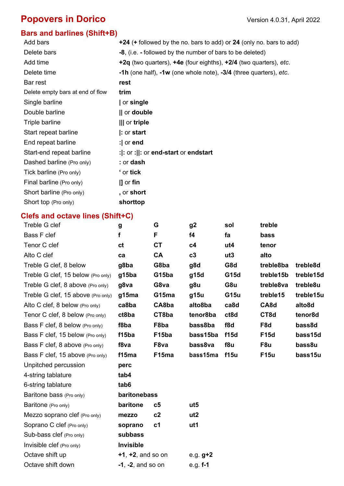# **Popovers in Dorico Version 4.0.31, April 2022**

### **Bars and barlines (Shift+B)**

| Add bars                         | $+24$ (+ followed by the no. bars to add) or 24 (only no. bars to add)  |
|----------------------------------|-------------------------------------------------------------------------|
| Delete bars                      | -8, (i.e. - followed by the number of bars to be deleted)               |
| Add time                         | $+2q$ (two quarters), $+4e$ (four eighths), $+2/4$ (two quarters), etc. |
| Delete time                      | -1h (one half), $-1w$ (one whole note), $-3/4$ (three quarters), etc.   |
| Bar rest                         | rest                                                                    |
| Delete empty bars at end of flow | trim                                                                    |
| Single barline                   | or single                                                               |
| Double barline                   | $  $ or <b>double</b>                                                   |
| Triple barline                   | III or triple                                                           |
| Start repeat barline             | $ :$ or start                                                           |
| End repeat barline               | : $ $ or end                                                            |
| Start-end repeat barline         | : $ $ : or :  : or end-start or endstart                                |
| Dashed barline (Pro only)        | : or <b>dash</b>                                                        |
| Tick barline (Pro only)          | ' or tick                                                               |
| Final barline (Pro only)         | $\parallel$ or fin                                                      |
| Short barline (Pro only)         | , or short                                                              |
| Short top (Pro only)             | shorttop                                                                |
|                                  |                                                                         |

## **Clefs and octave lines (Shift+C)**

| Treble G clef                      | g                       | G              | g <sub>2</sub>  | sol         | treble      |                     |
|------------------------------------|-------------------------|----------------|-----------------|-------------|-------------|---------------------|
| Bass F clef                        | f                       | F              | f <sub>4</sub>  | fa          | bass        |                     |
| Tenor C clef                       | ct                      | <b>CT</b>      | c4              | ut4         | tenor       |                     |
| Alto C clef                        | ca                      | <b>CA</b>      | c3              | ut3         | alto        |                     |
| Treble G clef, 8 below             | g8ba                    | G8ba           | g8d             | G8d         | treble8ba   | treble8d            |
| Treble G clef, 15 below (Pro only) | g15ba                   | G15ba          | g15d            | G15d        | treble15b   | treble15d           |
| Treble G clef, 8 above (Pro only)  | g8va                    | G8va           | g8u             | G8u         | treble8va   | treble8u            |
| Treble G clef, 15 above (Pro only) | g15ma                   | G15ma          | g15u            | <b>G15u</b> | treble15    | treble15u           |
| Alto C clef, 8 below (Pro only)    | ca8ba                   | CA8ba          | alto8ba         | ca8d        | CA8d        | alto8d              |
| Tenor C clef, 8 below (Pro only)   | ct8ba                   | CT8ba          | tenor8ba        | ct8d        | CT8d        | tenor <sub>8d</sub> |
| Bass F clef, 8 below (Pro only)    | f8ba                    | F8ba           | bass8ba         | f8d         | F8d         | bass8d              |
| Bass F clef, 15 below (Pro only)   | f15ba                   | F15ba          | bass15ba        | f15d        | <b>F15d</b> | bass15d             |
| Bass F clef, 8 above (Pro only)    | f8va                    | F8va           | bass8va         | f8u         | F8u         | bass8u              |
| Bass F clef, 15 above (Pro only)   | f15ma                   | F15ma          | bass15ma        | f15u        | <b>F15u</b> | bass15u             |
| Unpitched percussion               | perc                    |                |                 |             |             |                     |
| 4-string tablature                 | tab4                    |                |                 |             |             |                     |
| 6-string tablature                 | tab6                    |                |                 |             |             |                     |
| Baritone bass (Pro only)           | baritonebass            |                |                 |             |             |                     |
| Baritone (Pro only)                | baritone                | c5             | ut <sub>5</sub> |             |             |                     |
| Mezzo soprano clef (Pro only)      | mezzo                   | c2             | ut <sub>2</sub> |             |             |                     |
| Soprano C clef (Pro only)          | soprano                 | c <sub>1</sub> | ut1             |             |             |                     |
| Sub-bass clef (Pro only)           | subbass                 |                |                 |             |             |                     |
| Invisible clef (Pro only)          | <b>Invisible</b>        |                |                 |             |             |                     |
| Octave shift up                    | $+1$ , $+2$ , and so on |                | e.g. $g+2$      |             |             |                     |
| Octave shift down                  | $-1$ , $-2$ , and so on |                | e.g. $f-1$      |             |             |                     |
|                                    |                         |                |                 |             |             |                     |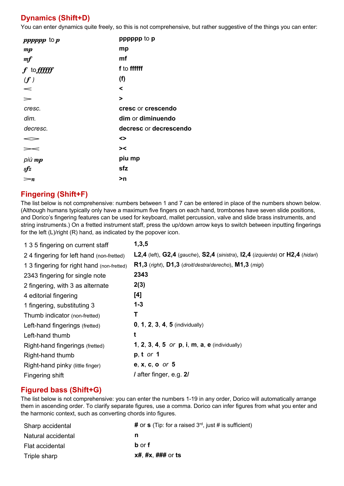### **Dynamics (Shift+D)**

You can enter dynamics quite freely, so this is not comprehensive, but rather suggestive of the things you can enter:

| pppppp to $p$                  | pppppp to p            |
|--------------------------------|------------------------|
| $\boldsymbol{m}\boldsymbol{p}$ | mp                     |
| m f                            | mf                     |
| $f$ to $f\!f\!f\!f\!f\!f$      | f to ffffff            |
| (f)                            | (f)                    |
| $\prec$                        | ≺                      |
| $\geq$                         | >                      |
| cresc.                         | cresc or crescendo     |
| dim.                           | dim or diminuendo      |
| decresc.                       | decresc or decrescendo |
|                                | <>                     |
| $\gt <$                        | > <                    |
| $pi$ iù mp                     | piu mp                 |
| $s\!f\!z$                      | sfz                    |
| $\mathord{=}n$                 | >n                     |
|                                |                        |

### **Fingering (Shift+F)**

The list below is not comprehensive: numbers between 1 and 7 can be entered in place of the numbers shown below. (Although humans typically only have a maximum five fingers on each hand, trombones have seven slide positions, and Dorico's fingering features can be used for keyboard, mallet percussion, valve and slide brass instruments, and string instruments.) On a fretted instrument staff, press the up/down arrow keys to switch between inputting fingerings for the left (L)/right (R) hand, as indicated by the popover icon.

| 1 3 5 fingering on current staff           | 1,3,5                                                                          |
|--------------------------------------------|--------------------------------------------------------------------------------|
| 24 fingering for left hand (non-fretted)   | L2,4 (left), G2,4 (gauche), S2,4 (sinistra), I2,4 (izquierda) or H2,4 (hidari) |
| 1 3 fingering for right hand (non-fretted) | R1,3 (right), D1,3 (droit/destra/derecho), M1,3 (migi)                         |
| 2343 fingering for single note             | 2343                                                                           |
| 2 fingering, with 3 as alternate           | 2(3)                                                                           |
| 4 editorial fingering                      | [4]                                                                            |
| 1 fingering, substituting 3                | $1 - 3$                                                                        |
| Thumb indicator (non-fretted)              | Т                                                                              |
| Left-hand fingerings (fretted)             | $0, 1, 2, 3, 4, 5$ (individually)                                              |
| Left-hand thumb                            | t                                                                              |
| Right-hand fingerings (fretted)            | 1, 2, 3, 4, 5 or p, i, m, a, e (individually)                                  |
| Right-hand thumb                           | $p, t$ or 1                                                                    |
| Right-hand pinky (little finger)           | <b>e</b> , $x$ , $c$ , $o$ or $5$                                              |
| Fingering shift                            | / after finger, e.g. 2/                                                        |

### **Figured bass (Shift+G)**

The list below is not comprehensive: you can enter the numbers 1-19 in any order, Dorico will automatically arrange them in ascending order. To clarify separate figures, use a comma. Dorico can infer figures from what you enter and the harmonic context, such as converting chords into figures.

| Sharp accidental   | # or s (Tip: for a raised $3^{rd}$ , just # is sufficient) |
|--------------------|------------------------------------------------------------|
| Natural accidental | n                                                          |
| Flat accidental    | <b>b</b> or f                                              |
| Triple sharp       | $x\#$ , $\#x$ , $\#$ $\#$ or ts                            |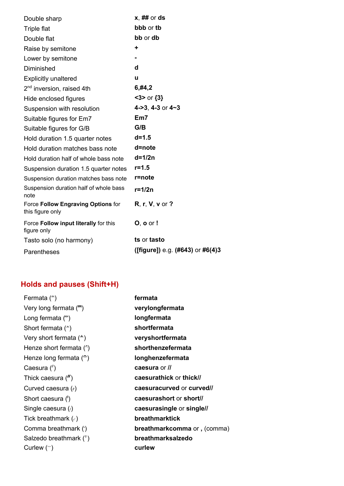| Double sharp                                           | $x, ##$ or ds                        |
|--------------------------------------------------------|--------------------------------------|
| <b>Triple flat</b>                                     | bbb or the                           |
| Double flat                                            | bb or db                             |
| Raise by semitone                                      | ٠                                    |
| Lower by semitone                                      |                                      |
| Diminished                                             | d                                    |
| <b>Explicitly unaltered</b>                            | u                                    |
| 2 <sup>nd</sup> inversion, raised 4th                  | 6, #4,2                              |
| Hide enclosed figures                                  | $3$ > or $\{3\}$                     |
| Suspension with resolution                             | 4->3, 4-3 or 4~3                     |
| Suitable figures for Em7                               | Em7                                  |
| Suitable figures for G/B                               | G/B                                  |
| Hold duration 1.5 quarter notes                        | $d = 1.5$                            |
| Hold duration matches bass note                        | d=note                               |
| Hold duration half of whole bass note                  | $d=1/2n$                             |
| Suspension duration 1.5 quarter notes                  | $r = 1.5$                            |
| Suspension duration matches bass note                  | r=note                               |
| Suspension duration half of whole bass<br>note         | $r=1/2n$                             |
| Force Follow Engraving Options for<br>this figure only | $R, r, V, v$ or ?                    |
| Force Follow input literally for this<br>figure only   | $O$ , $O$ or $I$                     |
| Tasto solo (no harmony)                                | ts or tasto                          |
| Parentheses                                            | ([figure]) e.g. $(#643)$ or $#6(4)3$ |

# **Holds and pauses (Shift+H)**

| Fermata $($ <sup><math>\hat{ }</math></sup> ) | fermata                     |
|-----------------------------------------------|-----------------------------|
| Very long fermata $(\overline{m})$            | verylongfermata             |
| Long fermata $(\lceil \cdot \rceil)$          | longfermata                 |
| Short fermata $($ <sup>*</sup> )              | shortfermata                |
| Very short fermata $(*)$                      | veryshortfermata            |
| Henze short fermata $($ <sup>2</sup> )        | shorthenzefermata           |
| Henze long fermata $(\hat{\mathbb{C}})$       | longhenzefermata            |
| Caesura $\binom{n}{k}$                        | caesura or //               |
| Thick caesura $($                             | caesurathick or thick//     |
| Curved caesura $(y)$                          | caesuracurved or curved//   |
| Short caesura $(\mathbb{I})$                  | caesurashort or short//     |
| Single caesura $($ )                          | caesurasingle or singlell   |
| Tick breathmark $(\sqrt{ } )$                 | <b>breathmarktick</b>       |
| Comma breathmark (')                          | breathmarkcomma or, (comma) |
| Salzedo breathmark ( $\hat{ }$ )              | breathmarksalzedo           |
| Curlew $(\hat{\ })$                           | curlew                      |
|                                               |                             |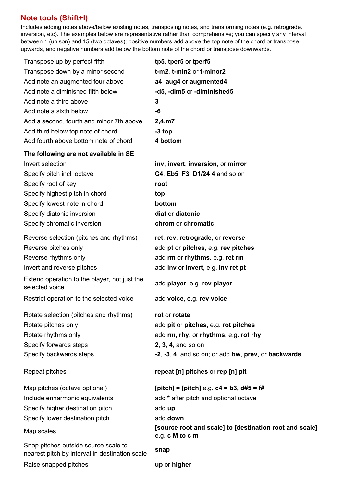### **Note tools (Shift+I)**

Includes adding notes above/below existing notes, transposing notes, and transforming notes (e.g. retrograde, inversion, etc). The examples below are representative rather than comprehensive; you can specify any interval between 1 (unison) and 15 (two octaves); positive numbers add above the top note of the chord or transpose upwards, and negative numbers add below the bottom note of the chord or transpose downwards.

| Transpose up by perfect fifth                                                          | tp5, tper5 or tperf5                                                       |
|----------------------------------------------------------------------------------------|----------------------------------------------------------------------------|
| Transpose down by a minor second                                                       | t-m2, t-min2 or t-minor2                                                   |
| Add note an augmented four above                                                       | a4, aug4 or augmented4                                                     |
| Add note a diminished fifth below                                                      | -d5, -dim5 or -diminished5                                                 |
| Add note a third above                                                                 | 3                                                                          |
| Add note a sixth below                                                                 | -6                                                                         |
| Add a second, fourth and minor 7th above                                               | 2,4,m7                                                                     |
| Add third below top note of chord                                                      | $-3$ top                                                                   |
| Add fourth above bottom note of chord                                                  | 4 bottom                                                                   |
| The following are not available in SE                                                  |                                                                            |
| Invert selection                                                                       | inv, invert, inversion, or mirror                                          |
| Specify pitch incl. octave                                                             | C4, Eb5, F3, D1/24 4 and so on                                             |
| Specify root of key                                                                    | root                                                                       |
| Specify highest pitch in chord                                                         | top                                                                        |
| Specify lowest note in chord                                                           | bottom                                                                     |
| Specify diatonic inversion                                                             | diat or diatonic                                                           |
| Specify chromatic inversion                                                            | chrom or chromatic                                                         |
| Reverse selection (pitches and rhythms)                                                | ret, rev, retrograde, or reverse                                           |
| Reverse pitches only                                                                   | add pt or pitches, e.g. rev pitches                                        |
| Reverse rhythms only                                                                   | add rm or rhythms, e.g. ret rm                                             |
| Invert and reverse pitches                                                             | add inv or invert, e.g. inv ret pt                                         |
| Extend operation to the player, not just the<br>selected voice                         | add player, e.g. rev player                                                |
| Restrict operation to the selected voice                                               | add voice, e.g. rev voice                                                  |
| Rotate selection (pitches and rhythms)                                                 | rot or rotate                                                              |
| Rotate pitches only                                                                    | add pit or pitches, e.g. rot pitches                                       |
| Rotate rhythms only                                                                    | add rm, rhy, or rhythms, e.g. rot rhy                                      |
| Specify forwards steps                                                                 | 2, 3, 4, and so on                                                         |
| Specify backwards steps                                                                | -2, -3, 4, and so on; or add bw, prev, or backwards                        |
| Repeat pitches                                                                         | repeat [n] pitches or rep [n] pit                                          |
| Map pitches (octave optional)                                                          | [pitch] = [pitch] e.g. $c4 = b3$ , $d#5 = ff$                              |
| Include enharmonic equivalents                                                         | add * after pitch and optional octave                                      |
| Specify higher destination pitch                                                       | add up                                                                     |
| Specify lower destination pitch                                                        | add down                                                                   |
| Map scales                                                                             | [source root and scale] to [destination root and scale]<br>e.g. c M to c m |
| Snap pitches outside source scale to<br>nearest pitch by interval in destination scale | snap                                                                       |
| Raise snapped pitches                                                                  | up or higher                                                               |
|                                                                                        |                                                                            |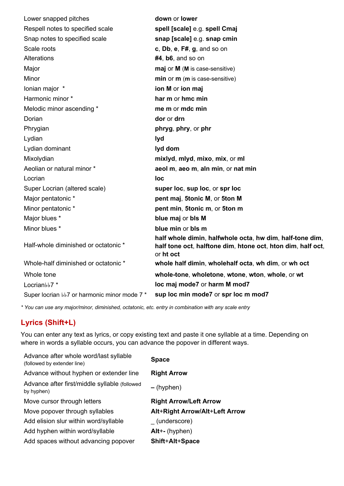| Lower snapped pitches                        | down or lower                                                                                                                        |
|----------------------------------------------|--------------------------------------------------------------------------------------------------------------------------------------|
| Respell notes to specified scale             | spell [scale] e.g. spell Cmaj                                                                                                        |
| Snap notes to specified scale                | snap [scale] e.g. snap cmin                                                                                                          |
| Scale roots                                  | c, Db, e, F#, g, and so on                                                                                                           |
| Alterations                                  | $#4$ , b6, and so on                                                                                                                 |
| Major                                        | maj or M (M is case-sensitive)                                                                                                       |
| Minor                                        | min or m (m is case-sensitive)                                                                                                       |
| lonian major *                               | ion M or ion maj                                                                                                                     |
| Harmonic minor *                             | har m or hmc min                                                                                                                     |
| Melodic minor ascending *                    | me m or mdc min                                                                                                                      |
| Dorian                                       | dor or drn                                                                                                                           |
| Phrygian                                     | phryg, phry, or phr                                                                                                                  |
| Lydian                                       | lyd                                                                                                                                  |
| Lydian dominant                              | lyd dom                                                                                                                              |
| Mixolydian                                   | mixlyd, mlyd, mixo, mix, or ml                                                                                                       |
| Aeolian or natural minor *                   | aeol m, aeo m, aln min, or nat min                                                                                                   |
| Locrian                                      | loc                                                                                                                                  |
| Super Locrian (altered scale)                | super loc, sup loc, or spr loc                                                                                                       |
| Major pentatonic *                           | pent maj, 5tonic M, or 5ton M                                                                                                        |
| Minor pentatonic *                           | pent min, 5tonic m, or 5ton m                                                                                                        |
| Major blues *                                | blue maj or bls M                                                                                                                    |
| Minor blues *                                | blue min or bls m                                                                                                                    |
| Half-whole diminished or octatonic *         | half whole dimin, halfwhole octa, hw dim, half-tone dim,<br>half tone oct, halftone dim, htone oct, hton dim, half oct,<br>or ht oct |
| Whole-half diminished or octatonic *         | whole half dimin, wholehalf octa, wh dim, or wh oct                                                                                  |
| Whole tone                                   | whole-tone, wholetone, wtone, wton, whole, or wt                                                                                     |
| Locrianbb7*                                  | loc maj mode7 or harm M mod7                                                                                                         |
| Super locrian bb7 or harmonic minor mode 7 * | sup loc min mode7 or spr loc m mod7                                                                                                  |
|                                              |                                                                                                                                      |

*\* You can use any major/minor, diminished, octatonic, etc. entry in combination with any scale entry*

### **Lyrics (Shift+L)**

You can enter any text as lyrics, or copy existing text and paste it one syllable at a time. Depending on where in words a syllable occurs, you can advance the popover in different ways.

| Advance after whole word/last syllable<br>(followed by extender line) | <b>Space</b>                   |
|-----------------------------------------------------------------------|--------------------------------|
| Advance without hyphen or extender line                               | <b>Right Arrow</b>             |
| Advance after first/middle syllable (followed<br>by hyphen)           | – (hyphen)                     |
| Move cursor through letters                                           | <b>Right Arrow/Left Arrow</b>  |
| Move popover through syllables                                        | Alt+Right Arrow/Alt+Left Arrow |
| Add elision slur within word/syllable                                 | (underscore)                   |
| Add hyphen within word/syllable                                       | $Alt++$ (hyphen)               |
| Add spaces without advancing popover                                  | <b>Shift+Alt+Space</b>         |
|                                                                       |                                |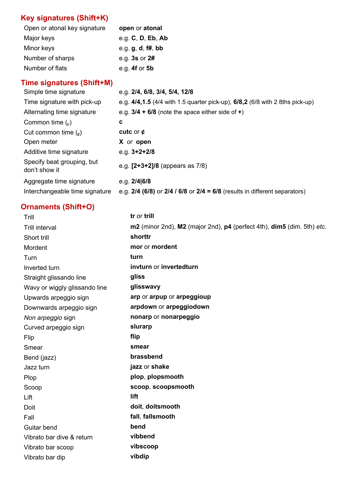## **Key signatures (Shift+K)**

| Open or atonal key signature | open or atonal    |
|------------------------------|-------------------|
| Major keys                   | e.g. C, D, Eb, Ab |
| Minor keys                   | e.g. g, d, f#, bb |
| Number of sharps             | e.g. $3s$ or $2#$ |
| Number of flats              | e.g. $4f$ or $5b$ |

## **Time signatures (Shift+M)**

| Simple time signature                                      | e.g. 2/4, 6/8, 3/4, 5/4, 12/8                                                                      |
|------------------------------------------------------------|----------------------------------------------------------------------------------------------------|
| Time signature with pick-up                                | e.g. $4/4, 1.5$ (4/4 with 1.5 quarter pick-up), 6/8,2 (6/8 with 2 8ths pick-up)                    |
| Alternating time signature                                 | e.g. $3/4$ + 6/8 (note the space either side of +)                                                 |
| Common time $\binom{1}{c}$                                 | c                                                                                                  |
| Cut common time $\binom{e}{e}$                             | cutc or $\phi$                                                                                     |
| Open meter                                                 | X or open                                                                                          |
| Additive time signature                                    | e.g. $3+2+2/8$                                                                                     |
| Specify beat grouping, but<br>don't show it                | e.g. $[2+3+2]/8$ (appears as $7/8$ )                                                               |
| Aggregate time signature<br>Interchangeable time signature | e.g. $2/4 6/8$<br>e.g. $2/4$ (6/8) or $2/4$ / 6/8 or $2/4 = 6/8$ (results in different separators) |

## **Ornaments (Shift+O)**

| Trill                         | tr or trill                                                            |
|-------------------------------|------------------------------------------------------------------------|
| <b>Trill interval</b>         | m2 (minor 2nd), M2 (major 2nd), p4 (perfect 4th), dim5 (dim. 5th) etc. |
| Short trill                   | shorttr                                                                |
| Mordent                       | mor or mordent                                                         |
| Turn                          | turn                                                                   |
| Inverted turn                 | invturn or invertedturn                                                |
| Straight glissando line       | gliss                                                                  |
| Wavy or wiggly glissando line | glisswavy                                                              |
| Upwards arpeggio sign         | arp or arpup or arpeggioup                                             |
| Downwards arpeggio sign       | arpdown or arpeggiodown                                                |
| Non arpeggio sign             | nonarp or nonarpeggio                                                  |
| Curved arpeggio sign          | slurarp                                                                |
| Flip                          | flip                                                                   |
| Smear                         | smear                                                                  |
| Bend (jazz)                   | brassbend                                                              |
| Jazz turn                     | jazz or shake                                                          |
| Plop                          | plop, plopsmooth                                                       |
| Scoop                         | scoop, scoopsmooth                                                     |
| Lift                          | lift                                                                   |
| Doit                          | doit, doitsmooth                                                       |
| Fall                          | fall, fallsmooth                                                       |
| Guitar bend                   | bend                                                                   |
| Vibrato bar dive & return     | vibbend                                                                |
| Vibrato bar scoop             | vibscoop                                                               |
| Vibrato bar dip               | vibdip                                                                 |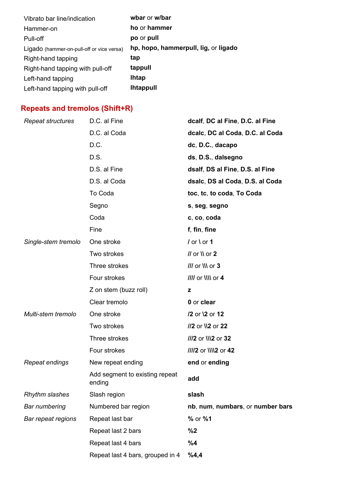| Vibrato bar line/indication               | wbar or w/bar                        |
|-------------------------------------------|--------------------------------------|
| Hammer-on                                 | ho or hammer                         |
| Pull-off                                  | po or pull                           |
| Ligado (hammer-on-pull-off or vice versa) | hp, hopo, hammerpull, lig, or ligado |
| Right-hand tapping                        | tap                                  |
| Right-hand tapping with pull-off          | tappull                              |
| Left-hand tapping                         | <b>Ihtap</b>                         |
| Left-hand tapping with pull-off           | <b>Ihtappull</b>                     |

## **Repeats and tremolos (Shift+R)**

| Repeat structures     | D.C. al Fine                             | dcalf, DC al Fine, D.C. al Fine  |
|-----------------------|------------------------------------------|----------------------------------|
|                       | D.C. al Coda                             | dcalc, DC al Coda, D.C. al Coda  |
|                       | D.C.                                     | dc, D.C., dacapo                 |
|                       | D.S.                                     | ds, D.S., dalsegno               |
|                       | D.S. al Fine                             | dsalf, DS al Fine, D.S. al Fine  |
|                       | D.S. al Coda                             | dsalc, DS al Coda, D.S. al Coda  |
|                       | To Coda                                  | toc, tc, to coda, To Coda        |
|                       | Segno                                    | s, seg, segno                    |
|                       | Coda                                     | c, co, coda                      |
|                       | Fine                                     | f, fin, fine                     |
| Single-stem tremolo   | One stroke                               | $/$ or \ or 1                    |
|                       | Two strokes                              | $II$ or $N$ or $2$               |
|                       | Three strokes                            | $III$ or $III$ or $3$            |
|                       | Four strokes                             | IIII or NN or 4                  |
|                       | Z on stem (buzz roll)                    | z                                |
|                       | Clear tremolo                            | 0 or clear                       |
| Multi-stem tremolo    | One stroke                               | /2 or \2 or 12                   |
|                       | Two strokes                              | //2 or \\2 or 22                 |
|                       | Three strokes                            | ///2 or \\\2 or 32               |
|                       | Four strokes                             | ////2 or \\\\2 or 42             |
| Repeat endings        | New repeat ending                        | end or ending                    |
|                       | Add segment to existing repeat<br>ending | add                              |
| <b>Rhythm slashes</b> | Slash region                             | slash                            |
| Bar numbering         | Numbered bar region                      | nb, num, numbars, or number bars |
| Bar repeat regions    | Repeat last bar                          | % or %1                          |
|                       | Repeat last 2 bars                       | %2                               |
|                       | Repeat last 4 bars                       | %4                               |
|                       | Repeat last 4 bars, grouped in 4         | %4,4                             |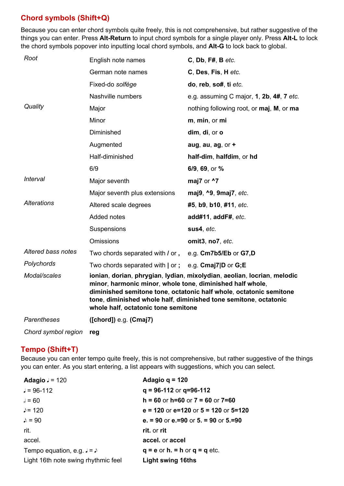### **Chord symbols (Shift+Q)**

Because you can enter chord symbols quite freely, this is not comprehensive, but rather suggestive of the things you can enter. Press **Alt-Return** to input chord symbols for a single player only. Press **Alt-L** to lock the chord symbols popover into inputting local chord symbols, and **Alt-G** to lock back to global.

| Root                                | English note names                                                                                                                                                                                                                                                                                                    | $C$ , Db, F#, B etc.                     |
|-------------------------------------|-----------------------------------------------------------------------------------------------------------------------------------------------------------------------------------------------------------------------------------------------------------------------------------------------------------------------|------------------------------------------|
|                                     | German note names                                                                                                                                                                                                                                                                                                     | C, Des, Fis, H etc.                      |
|                                     | Fixed-do solfège                                                                                                                                                                                                                                                                                                      | do, reb, so#, ti etc.                    |
|                                     | Nashville numbers                                                                                                                                                                                                                                                                                                     | e.g. assuming C major, 1, 2b, 4#, 7 etc. |
| Quality                             | Major                                                                                                                                                                                                                                                                                                                 | nothing following root, or maj, M, or ma |
|                                     | Minor                                                                                                                                                                                                                                                                                                                 | m, min, or mi                            |
|                                     | Diminished                                                                                                                                                                                                                                                                                                            | dim, di, or o                            |
|                                     | Augmented                                                                                                                                                                                                                                                                                                             | aug, au, ag, $or +$                      |
|                                     | Half-diminished                                                                                                                                                                                                                                                                                                       | half-dim, halfdim, or hd                 |
|                                     | 6/9                                                                                                                                                                                                                                                                                                                   | 6/9, 69, or %                            |
| Interval                            | Major seventh                                                                                                                                                                                                                                                                                                         | maj7 or ^7                               |
|                                     | Major seventh plus extensions                                                                                                                                                                                                                                                                                         | maj9, ^9, 9maj7, etc.                    |
| <b>Alterations</b>                  | Altered scale degrees                                                                                                                                                                                                                                                                                                 | #5, b9, b10, #11, etc.                   |
|                                     | Added notes                                                                                                                                                                                                                                                                                                           | add#11, addF#, etc.                      |
|                                     | Suspensions                                                                                                                                                                                                                                                                                                           | sus4, etc.                               |
|                                     | <b>Omissions</b>                                                                                                                                                                                                                                                                                                      | omit3, no7, etc.                         |
| Altered bass notes                  | Two chords separated with / or,                                                                                                                                                                                                                                                                                       | e.g. Cm7b5/Eb or G7,D                    |
| Polychords                          | Two chords separated with   or ;                                                                                                                                                                                                                                                                                      | e.g. Cmaj7 D or G;E                      |
| Modal/scales                        | ionian, dorian, phrygian, lydian, mixolydian, aeolian, locrian, melodic<br>minor, harmonic minor, whole tone, diminished half whole,<br>diminished semitone tone, octatonic half whole, octatonic semitone<br>tone, diminished whole half, diminished tone semitone, octatonic<br>whole half, octatonic tone semitone |                                          |
| Parentheses                         | $($ [chord] $)$ e.g. $($ Cmaj $7)$                                                                                                                                                                                                                                                                                    |                                          |
| $\bigcap L$ and an unclear function |                                                                                                                                                                                                                                                                                                                       |                                          |

*Chord symbol region* **reg**

### **Tempo (Shift+T)**

Because you can enter tempo quite freely, this is not comprehensive, but rather suggestive of the things you can enter. As you start entering, a list appears with suggestions, which you can select.

| Adagio $J = 120$                    | Adagio q = $120$                                 |
|-------------------------------------|--------------------------------------------------|
| $J = 96 - 112$                      | $q = 96-112$ or $q = 96-112$                     |
| $J = 60$                            | $h = 60$ or $h = 60$ or $7 = 60$ or $7 = 60$     |
| $\triangle$ = 120                   | $e = 120$ or $e = 120$ or $5 = 120$ or $5 = 120$ |
| $\lambda = 90$                      | e. $= 90$ or e. $= 90$ or 5, $= 90$ or 5, $= 90$ |
| rit.                                | rit. or rit                                      |
| accel.                              | accel. or accel                                  |
| Tempo equation, e.g. $J = J$        | $q = e$ or h. = h or $q = q$ etc.                |
| Light 16th note swing rhythmic feel | <b>Light swing 16ths</b>                         |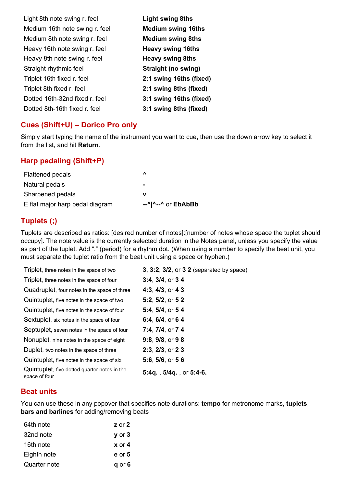| Light 8th note swing r. feel   | <b>Light swing 8ths</b>    |
|--------------------------------|----------------------------|
| Medium 16th note swing r. feel | <b>Medium swing 16ths</b>  |
| Medium 8th note swing r. feel  | <b>Medium swing 8ths</b>   |
| Heavy 16th note swing r. feel  | <b>Heavy swing 16ths</b>   |
| Heavy 8th note swing r. feel   | <b>Heavy swing 8ths</b>    |
| Straight rhythmic feel         | <b>Straight (no swing)</b> |
| Triplet 16th fixed r. feel     | 2:1 swing 16ths (fixed)    |
| Triplet 8th fixed r. feel      | 2:1 swing 8ths (fixed)     |
| Dotted 16th-32nd fixed r. feel | 3:1 swing 16ths (fixed)    |
| Dotted 8th-16th fixed r. feel  | 3:1 swing 8ths (fixed)     |

### **Cues (Shift+U) – Dorico Pro only**

Simply start typing the name of the instrument you want to cue, then use the down arrow key to select it from the list, and hit **Return**.

#### **Harp pedaling (Shift+P)**

| <b>Flattened pedals</b>         | $\boldsymbol{\mathsf{\Lambda}}$                        |
|---------------------------------|--------------------------------------------------------|
| Natural pedals                  | ٠                                                      |
| Sharpened pedals                |                                                        |
| E flat major harp pedal diagram | $-$ <sup><math>\wedge</math></sup> $ \wedge$ or EbAbBb |

### **Tuplets (;)**

Tuplets are described as ratios: [desired number of notes]:[number of notes whose space the tuplet should occupy]. The note value is the currently selected duration in the Notes panel, unless you specify the value as part of the tuplet. Add "." (period) for a rhythm dot. (When using a number to specify the beat unit, you must separate the tuplet ratio from the beat unit using a space or hyphen.)

| Triplet, three notes in the space of two                      | 3, 3:2, 3/2, or 3 2 (separated by space) |
|---------------------------------------------------------------|------------------------------------------|
| Triplet, three notes in the space of four                     | 3:4, 3/4, or 34                          |
| Quadruplet, four notes in the space of three                  | 4:3, $4/3$ , or 4 3                      |
| Quintuplet, five notes in the space of two                    | 5:2, 5/2, or 52                          |
| Quintuplet, five notes in the space of four                   | 5:4, 5/4, or 54                          |
| Sextuplet, six notes in the space of four                     | 6:4, 6/4, or 64                          |
| Septuplet, seven notes in the space of four                   | 7:4, 7/4, or 7 4                         |
| Nonuplet, nine notes in the space of eight                    | 9:8, 9/8, or 9 8                         |
| Duplet, two notes in the space of three                       | $2:3, 2/3,$ or $23$                      |
| Quintuplet, five notes in the space of six                    | 5:6, 5/6, or 5 6                         |
| Quintuplet, five dotted quarter notes in the<br>space of four | 5:4q., 5/4q., or 5:4-6.                  |

#### **Beat units**

You can use these in any popover that specifies note durations: **tempo** for metronome marks, **tuplets**, **bars and barlines** for adding/removing beats

| 64th note    | $z$ or $2$ |
|--------------|------------|
| 32nd note    | $y$ or $3$ |
| 16th note    | $x$ or 4   |
| Eighth note  | $e$ or 5   |
| Quarter note | $q$ or 6   |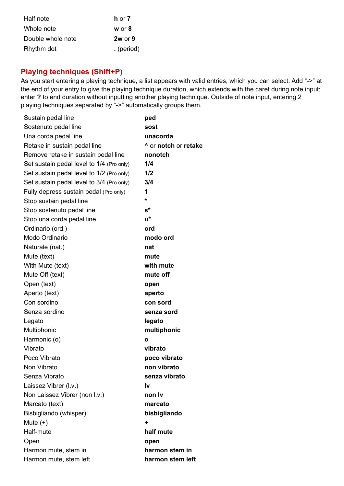| Half note         | <b>h</b> or $7$ |
|-------------------|-----------------|
| Whole note        | $w$ or $8$      |
| Double whole note | $2w$ or $9$     |
| Rhythm dot        | . (period)      |

#### **Playing techniques (Shift+P)**

As you start entering a playing technique, a list appears with valid entries, which you can select. Add "->" at the end of your entry to give the playing technique duration, which extends with the caret during note input; enter **?** to end duration without inputting another playing technique. Outside of note input, entering 2 playing techniques separated by "->" automatically groups them.

| Sustain pedal line                        | ped                  |
|-------------------------------------------|----------------------|
| Sostenuto pedal line                      | sost                 |
| Una corda pedal line                      | unacorda             |
| Retake in sustain pedal line              | ^ or notch or retake |
| Remove retake in sustain pedal line       | nonotch              |
| Set sustain pedal level to 1/4 (Pro only) | 1/4                  |
| Set sustain pedal level to 1/2 (Pro only) | 1/2                  |
| Set sustain pedal level to 3/4 (Pro only) | 3/4                  |
| Fully depress sustain pedal (Pro only)    | 1                    |
| Stop sustain pedal line                   | *                    |
| Stop sostenuto pedal line                 | $\mathbf{s}^{\star}$ |
| Stop una corda pedal line                 | u*                   |
| Ordinario (ord.)                          | ord                  |
| Modo Ordinario                            | modo ord             |
| Naturale (nat.)                           | nat                  |
| Mute (text)                               | mute                 |
| With Mute (text)                          | with mute            |
| Mute Off (text)                           | mute off             |
| Open (text)                               | open                 |
| Aperto (text)                             | aperto               |
| Con sordino                               | con sord             |
| Senza sordino                             | senza sord           |
| Legato                                    | legato               |
| Multiphonic                               | multiphonic          |
| Harmonic (o)                              | O                    |
| Vibrato                                   | vibrato              |
| Poco Vibrato                              | poco vibrato         |
| Non Vibrato                               | non vibrato          |
| Senza Vibrato                             | senza vibrato        |
| Laissez Vibrer (I.v.)                     | Ιv                   |
| Non Laissez Vibrer (non I.v.)             | non Iv               |
| Marcato (text)                            | marcato              |
| Bisbigliando (whisper)                    | bisbigliando         |
| Mute $(+)$                                | ÷                    |
| Half-mute                                 | half mute            |
| Open                                      | open                 |
| Harmon mute, stem in                      | harmon stem in       |
| Harmon mute, stem left                    | harmon stem left     |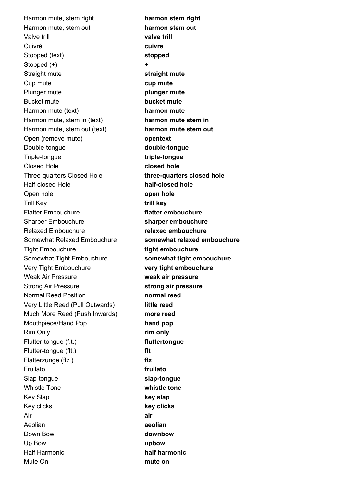Harmon mute, stem right **harmon stem right** Harmon mute, stem out **harmon stem out** Valve trill **valve trill** Cuivré **cuivre** Stopped (text) **stopped** Stopped (+) **+ Straight mute straight mute** Cup mute **cup mute** Plunger mute **plunger mute** Bucket mute **bucket mute** Harmon mute (text) **harmon mute** Harmon mute, stem in (text) **harmon mute stem in** Harmon mute, stem out (text) **harmon mute stem out** Open (remove mute) **opentext** Double-tongue **double-tongue** Triple-tongue **triple-tongue** Closed Hole **closed hole** Three-quarters Closed Hole **three-quarters closed hole** Half-closed Hole **half-closed hole** Open hole **open hole** Trill Key **trill key** Flatter Embouchure **flatter embouchure** Sharper Embouchure **sharper embouchure** Relaxed Embouchure **relaxed embouchure** Somewhat Relaxed Embouchure **somewhat relaxed embouchure** Tight Embouchure **tight embouchure** Somewhat Tight Embouchure **somewhat tight embouchure** Very Tight Embouchure **very tight embouchure** Weak Air Pressure **weak air pressure** Strong Air Pressure **strong air pressure** Normal Reed Position **normal reed** Very Little Reed (Pull Outwards) **little reed** Much More Reed (Push Inwards) **more reed** Mouthpiece/Hand Pop **hand pop** Rim Only **rim only** Flutter-tongue (f.t.) **fluttertongue** Flutter-tongue (flt.) **flt** Flatterzunge (flz.) **flz** Frullato **frullato** Slap-tongue **slap-tongue** Whistle Tone **whistle tone** Key Slap **key slap** Key clicks **key clicks** Air **air** Aeolian **aeolian** Down Bow **downbow** Up Bow **upbow** Half Harmonic **half harmonic** Mute On **mute on**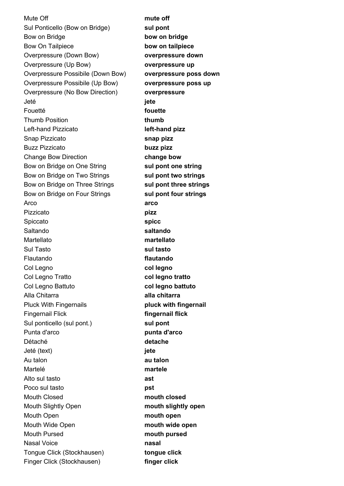Mute Off **mute off mute off** Sul Ponticello (Bow on Bridge) **sul pont** Bow on Bridge **bow on bridge** Bow On Tailpiece **bow on tailpiece** Overpressure (Down Bow) **overpressure down** Overpressure (Up Bow) **overpressure up** Overpressure Possibile (Down Bow) **overpressure poss down** Overpressure Possibile (Up Bow) **overpressure poss up** Overpressure (No Bow Direction) **overpressure** Jeté **jete** Fouetté **fouette** Thumb Position **thumb** Left-hand Pizzicato **left-hand pizz** Snap Pizzicato **snap pizz** Buzz Pizzicato **buzz pizz** Change Bow Direction **change bow** Bow on Bridge on One String **sul pont one string** Bow on Bridge on Two Strings **sul pont two strings** Bow on Bridge on Three Strings **sul pont three strings** Bow on Bridge on Four Strings **sul pont four strings** Arco **arco** Pizzicato **pizz** Spiccato **spicc** Saltando **saltando** Martellato **martellato** Sul Tasto **sul tasto** Flautando **flautando** Col Legno **col legno** Col Legno Tratto **col legno tratto** Col Legno Battuto **col legno battuto** Alla Chitarra **alla chitarra** Pluck With Fingernails **pluck with fingernail** Fingernail Flick **fingernail flick** Sul ponticello (sul pont.) **sul pont** Punta d'arco **punta d'arco** Détaché **detache** Jeté (text) **jete** Au talon **au talon** Martelé **martele** Alto sul tasto **ast** Poco sul tasto **pst** Mouth Closed **mouth closed** Mouth Slightly Open **mouth slightly open** Mouth Open **mouth open** Mouth Wide Open **mouth wide open** Mouth Pursed **mouth pursed** Nasal Voice **nasal** Tongue Click (Stockhausen) **tongue click** Finger Click (Stockhausen) **finger click**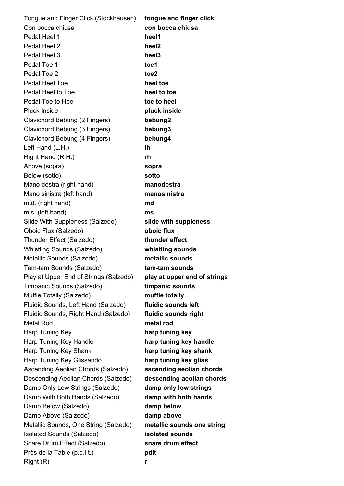Tongue and Finger Click (Stockhausen) **tongue and finger click** Con bocca chiusa **con bocca chiusa** Pedal Heel 1 **heel1** Pedal Heel 2 **heel2** Pedal Heel 3 **heel3** Pedal Toe 1 **toe1** Pedal Toe 2 **toe2** Pedal Heel Toe **heel toe** Pedal Heel to Toe **heel to toe Pedal Toe to Heel**  to **toe to heel** Pluck Inside **pluck inside** Clavichord Bebung (2 Fingers) **bebung2** Clavichord Bebung (3 Fingers) **bebung3** Clavichord Bebung (4 Fingers) **bebung4** Left Hand (L.H.) **lh** Right Hand (R.H.) **rh** Above (sopra) **sopra** Below (sotto) **sotto** Mano destra (right hand) **manodestra** Mano sinistra (left hand) **manosinistra** m.d. (right hand) **md** m.s. (left hand) **ms** Slide With Suppleness (Salzedo) **slide with suppleness** Oboic Flux (Salzedo) **oboic flux** Thunder Effect (Salzedo) **thunder effect** Whistling Sounds (Salzedo) **whistling sounds** Metallic Sounds (Salzedo) **metallic sounds** Tam-tam Sounds (Salzedo) **tam-tam sounds** Play at Upper End of Strings (Salzedo) **play at upper end of strings** Timpanic Sounds (Salzedo) **timpanic sounds** Muffle Totally (Salzedo) **muffle totally** Fluidic Sounds, Left Hand (Salzedo) **fluidic sounds left** Fluidic Sounds, Right Hand (Salzedo) **fluidic sounds right** Metal Rod **metal rod** Harp Tuning Key **harp tuning key** Harp Tuning Key Handle **harp tuning key handle** Harp Tuning Key Shank **harp tuning key shank** Harp Tuning Key Glissando **harp tuning key gliss** Ascending Aeolian Chords (Salzedo) **ascending aeolian chords** Descending Aeolian Chords (Salzedo) **descending aeolian chords** Damp Only Low Strings (Salzedo) **damp only low strings** Damp With Both Hands (Salzedo) **damp with both hands** Damp Below (Salzedo) **damp below** Damp Above (Salzedo) **damp above** Metallic Sounds, One String (Salzedo) **metallic sounds one string** Isolated Sounds (Salzedo) **isolated sounds** Snare Drum Effect (Salzedo) **snare drum effect** Près de la Table (p.d.l.t.) **pdlt** Right (R) **r**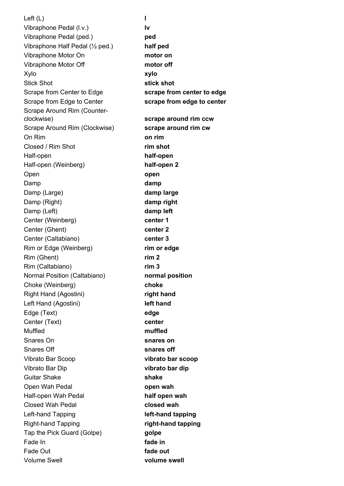Left (L) **l** Vibraphone Pedal (l.v.) **lv** Vibraphone Pedal (ped.) **ped** Vibraphone Half Pedal (½ ped.) **half ped** Vibraphone Motor On **motor on** Vibraphone Motor Off **motor off** Xylo **xylo** Stick Shot **Stick shot stick shot** Scrape from Center to Edge **scrape from center to edge** Scrape from Edge to Center **scrape from edge to center** Scrape Around Rim (Counterclockwise) **scrape around rim ccw** Scrape Around Rim (Clockwise) **scrape around rim cw** On Rim **on rim** Closed / Rim Shot **rim shot** Half-open **half-open** Half-open (Weinberg) **half-open 2** Open **open** Damp **damp damp** Damp (Large) **damp large** Damp (Right) **damp right** Damp (Left) **damp left** Center (Weinberg) **center 1** Center (Ghent) **center 2** Center (Caltabiano) **center 3** Rim or Edge (Weinberg) **rim or edge** Rim (Ghent) **rim 2** Rim (Caltabiano) **rim 3** Normal Position (Caltabiano) **normal position** Choke (Weinberg) **choke** Right Hand (Agostini) **right hand** Left Hand (Agostini) **left hand** Edge (Text) **edge** Center (Text) **center** Muffled **muffled** Snares On **snares on Snares Off snares off** Vibrato Bar Scoop **vibrato bar scoop** Vibrato Bar Dip **vibrato bar dip** Guitar Shake **shake** Open Wah Pedal **open wah** Half-open Wah Pedal **half open wah** Closed Wah Pedal **closed wah** Left-hand Tapping **left-hand tapping** Right-hand Tapping **right-hand tapping** Tap the Pick Guard (Golpe) **golpe** Fade In **fade in** Fade Out **fade out** Volume Swell **volume swell**